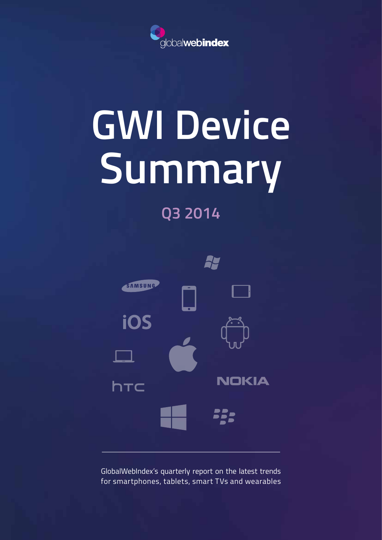

# **GWI Device Summary**

### **Q3 2014**



GlobalWebIndex's quarterly report on the latest trends for smartphones, tablets, smart TVs and wearables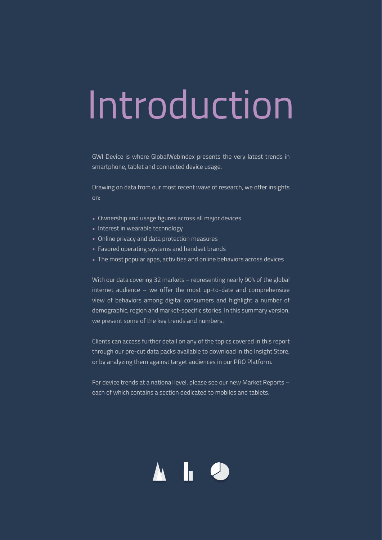## Introduction

GWI Device is where GlobalWebIndex presents the very latest trends in smartphone, tablet and connected device usage.

Drawing on data from our most recent wave of research, we offer insights on:

- Ownership and usage figures across all major devices
- Interest in wearable technology
- Online privacy and data protection measures
- Favored operating systems and handset brands
- The most popular apps, activities and online behaviors across devices

With our data covering 32 markets – representing nearly 90% of the global internet audience – we offer the most up-to-date and comprehensive view of behaviors among digital consumers and highlight a number of demographic, region and market-specific stories. In this summary version, we present some of the key trends and numbers.

Clients can access further detail on any of the topics covered in this report through our pre-cut data packs available to download in the Insight Store, or by analyzing them against target audiences in our PRO Platform.

For device trends at a national level, please see our new Market Reports – each of which contains a section dedicated to mobiles and tablets.

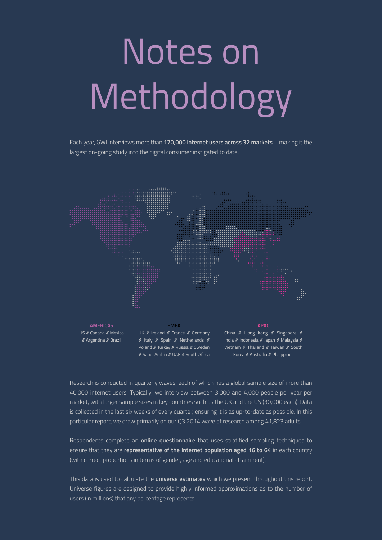## Notes on Methodology

Each year, GWI interviews more than **170,000 internet users across 32 markets** – making it the largest on-going study into the digital consumer instigated to date.



Research is conducted in quarterly waves, each of which has a global sample size of more than 40,000 internet users. Typically, we interview between 3,000 and 4,000 people per year per market, with larger sample sizes in key countries such as the UK and the US (30,000 each). Data is collected in the last six weeks of every quarter, ensuring it is as up-to-date as possible. In this particular report, we draw primarily on our Q3 2014 wave of research among 41,823 adults.

Respondents complete an **online questionnaire** that uses stratified sampling techniques to ensure that they are **representative of the internet population aged 16 to 64** in each country (with correct proportions in terms of gender, age and educational attainment).

This data is used to calculate the **universe estimates** which we present throughout this report. Universe figures are designed to provide highly informed approximations as to the number of users (in millions) that any percentage represents.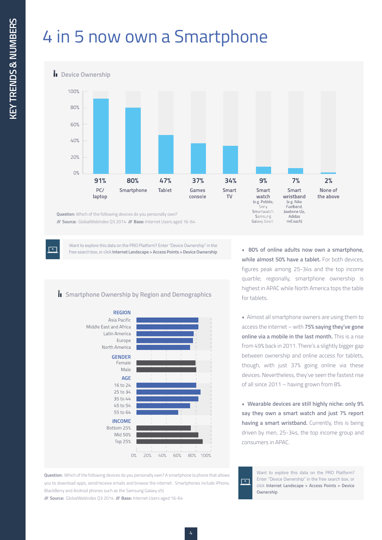## 4 in 5 now own a Smartphone

**Device Ownership** 

 $\overline{\phantom{a}}$ 



**/// Source:** GlobalWebIndex Q3 2014 **/// Base:** Internet Users aged 16-64

Want to explore this data on the PRO Platform? Enter "Device Ownership" in the free search box, or click **Internet Landscape > Access Points > Device Ownership**

#### **Smartphone Ownership by Region and Demographics**



**Question:** Which of the following devices do you personally own? A smartphone (a phone that allows you to download apps, send/receive emails and browse the internet. Smartphones include iPhone, BlackBerry and Android phones such as the Samsung Galaxy s5)

**/// Source:** GlobalWebIndex Q3 2014 **/// Base:** Internet Users aged 16-64

**• 80% of online adults now own a smartphone, while almost 50% have a tablet.** For both devices, figures peak among 25-34s and the top income quartile; regionally, smartphone ownership is highest in APAC while North America tops the table for tablets.

miCoach)

Galaxy Gear)

• Almost all smartphone owners are using them to access the internet – with **75% saying they've gone online via a mobile in the last month.** This is a rise from 49% back in 2011. There's a slightly bigger gap between ownership and online access for tablets, though, with just 37% going online via these devices. Nevertheless, they've seen the fastest rise of all since 2011 – having grown from 8%.

**• Wearable devices are still highly niche: only 9% say they own a smart watch and just 7% report having a smart wristband.** Currently, this is being driven by men, 25-34s, the top income group and consumers in APAC.

 $\overline{\phantom{a}}$ **Ownership**

Want to explore this data on the PRO Platform? Enter "Device Ownership" in the free search box, or click **Internet Landscape > Access Points > Device**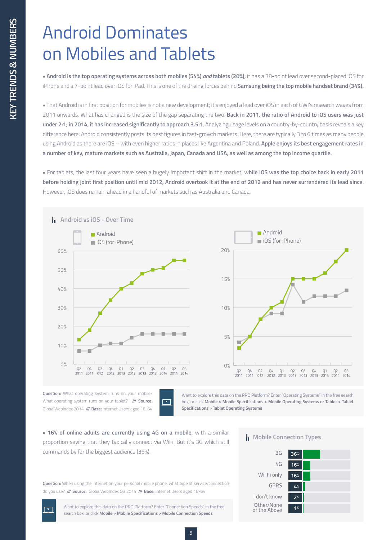## Android Dominates on Mobiles and Tablets

**• Android is the top operating systems across both mobiles (54%)** *and* **tablets (20%);** it has a 38-point lead over second-placed iOS for iPhone and a 7-point lead over iOS for iPad. This is one of the driving forces behind **Samsung being the top mobile handset brand (34%).**

**•** That Android is in first position for mobiles is not a new development; it's enjoyed a lead over iOS in each of GWI's research waves from 2011 onwards. What has changed is the size of the gap separating the two. **Back in 2011, the ratio of Android to iOS users was just under 2:1; in 2014, it has increased significantly to approach 3.5:1**. Analyzing usage levels on a country-by-country basis reveals a key difference here: Android consistently posts its best figures in fast-growth markets. Here, there are typically 3 to 6 times as many people using Android as there are iOS – with even higher ratios in places like Argentina and Poland. **Apple enjoys its best engagement rates in a number of key, mature markets such as Australia, Japan, Canada and USA, as well as among the top income quartile.**

**•** For tablets, the last four years have seen a hugely important shift in the market; **while iOS was the top choice back in early 2011 before holding joint first position until mid 2012, Android overtook it at the end of 2012 and has never surrendered its lead since**. However, iOS does remain ahead in a handful of markets such as Australia and Canada.



**Question:** What operating system runs on your mobile? What operating system runs on your tablet? **/// Source:** GlobalWebIndex 2014 **/// Base:** Internet Users aged 16-64



Want to explore this data on the PRO Platform? Enter "Operating Systems" in the free search box, or click **Mobile > Mobile Specifications > Mobile Operating Systems or Tablet > Tablet Specifications > Tablet Operating Systems**

**• 16% of online adults are currently using 4G on a mobile,** with a similar proportion saying that they typically connect via WiFi. But it's 3G which still commands by far the biggest audience (36%).

**Question:** When using the internet on your personal mobile phone, what type of service/connection do you use? **/// Source:** GlobalWebIndex Q3 2014 **/// Base:** Internet Users aged 16-64

> Want to explore this data on the PRO Platform? Enter "Connection Speeds" in the free search box, or click **Mobile > Mobile Specifications > Mobile Connection Speeds**

Ь **Mobile Connection Types**

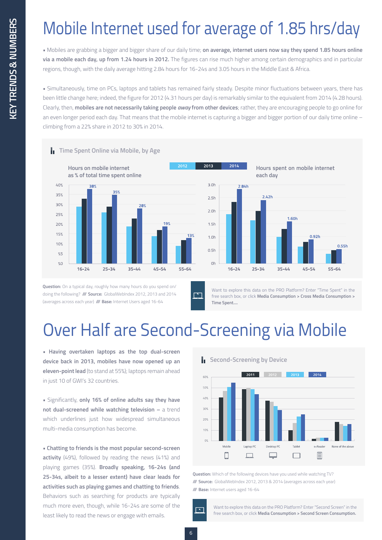## Mobile Internet used for average of 1.85 hrs/day

**•** Mobiles are grabbing a bigger and bigger share of our daily time; **on average, internet users now say they spend 1.85 hours online via a mobile each day, up from 1.24 hours in 2012.** The figures can rise much higher among certain demographics and in particular regions, though, with the daily average hitting 2.84 hours for 16-24s and 3.05 hours in the Middle East & Africa.

**•** Simultaneously, time on PCs, laptops and tablets has remained fairly steady. Despite minor fluctuations between years, there has been little change here; indeed, the figure for 2012 (4.31 hours per day) is remarkably similar to the equivalent from 2014 (4.28 hours). Clearly, then, **mobiles are not necessarily taking people** *away* **from other devices**; rather, they are encouraging people to go online for an even longer period each day. That means that the mobile internet is capturing a bigger and bigger portion of our daily time online – climbing from a 22% share in 2012 to 30% in 2014.



**Question:** On a typical day, roughly how many hours do you spend on/ doing the following? **/// Source:** GlobalWebIndex 2012, 2013 and 2014 (averages across each year) **/// Base:** Internet Users aged 16-64

Want to explore this data on the PRO Platform? Enter "Time Spent" in the free search box, or click **Media Consumption > Cross Media Consumption > Time Spent....** 

## Over Half are Second-Screening via Mobile

**• Having overtaken laptops as the top dual-screen device back in 2013, mobiles have now opened up an eleven-point lead** (to stand at 55%); laptops remain ahead in just 10 of GWI's 32 countries.

**•** Significantly, **only 16% of online adults say they have not dual-screened while watching television –** a trend which underlines just how widespread simultaneous multi-media consumption has become.

**• Chatting to friends is the most popular second-screen activity** (49%), followed by reading the news (41%) and playing games (35%). **Broadly speaking, 16-24s (and 25-34s, albeit to a lesser extent) have clear leads for activities such as playing games and chatting to friends**. Behaviors such as searching for products are typically much more even, though, while 16-24s are some of the least likely to read the news or engage with emails.





**Question:** Which of the following devices have you used while watching TV? **/// Source:** GlobalWebIndex 2012, 2013 & 2014 (averages across each year) **/// Base:** Internet users aged 16-64

Want to explore this data on the PRO Platform? Enter "Second Screen" in the free search box, or click **Media Consumption > Second Screen Consumption.**